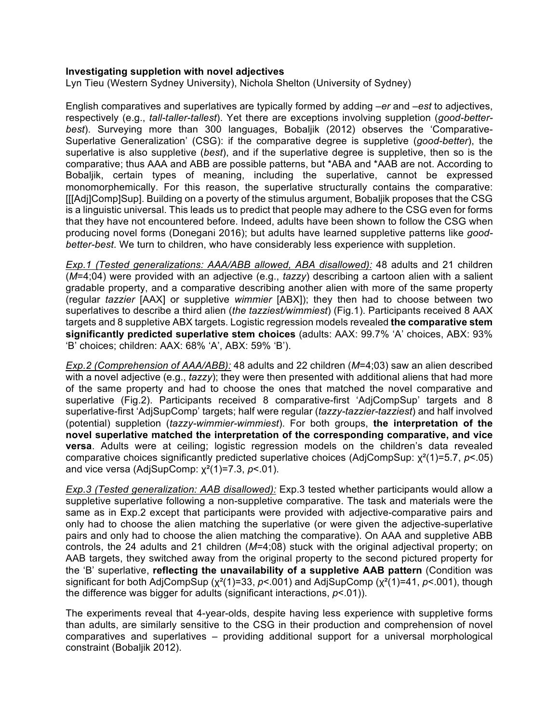## **Investigating suppletion with novel adjectives**

Lyn Tieu (Western Sydney University), Nichola Shelton (University of Sydney)

English comparatives and superlatives are typically formed by adding –*er* and –*est* to adjectives, respectively (e.g., *tall-taller-tallest*). Yet there are exceptions involving suppletion (*good-betterbest*). Surveying more than 300 languages, Bobaljik (2012) observes the 'Comparative-Superlative Generalization' (CSG): if the comparative degree is suppletive (*good-better*), the superlative is also suppletive (*best*), and if the superlative degree is suppletive, then so is the comparative; thus AAA and ABB are possible patterns, but \*ABA and \*AAB are not. According to Bobaljik, certain types of meaning, including the superlative, cannot be expressed monomorphemically. For this reason, the superlative structurally contains the comparative: [[[Adj]Comp]Sup]. Building on a poverty of the stimulus argument, Bobaljik proposes that the CSG is a linguistic universal. This leads us to predict that people may adhere to the CSG even for forms that they have not encountered before. Indeed, adults have been shown to follow the CSG when producing novel forms (Donegani 2016); but adults have learned suppletive patterns like *goodbetter-best*. We turn to children, who have considerably less experience with suppletion.

*Exp.1 (Tested generalizations: AAA/ABB allowed, ABA disallowed):* 48 adults and 21 children (*M*=4;04) were provided with an adjective (e.g., *tazzy*) describing a cartoon alien with a salient gradable property, and a comparative describing another alien with more of the same property (regular *tazzier* [AAX] or suppletive *wimmier* [ABX]); they then had to choose between two superlatives to describe a third alien (*the tazziest/wimmiest*) (Fig.1). Participants received 8 AAX targets and 8 suppletive ABX targets. Logistic regression models revealed **the comparative stem significantly predicted superlative stem choices** (adults: AAX: 99.7% 'A' choices, ABX: 93% 'B' choices; children: AAX: 68% 'A', ABX: 59% 'B').

*Exp.2 (Comprehension of AAA/ABB):* 48 adults and 22 children (*M*=4;03) saw an alien described with a novel adjective (e.g., *tazzy*); they were then presented with additional aliens that had more of the same property and had to choose the ones that matched the novel comparative and superlative (Fig.2). Participants received 8 comparative-first 'AdjCompSup' targets and 8 superlative-first 'AdjSupComp' targets; half were regular (*tazzy-tazzier-tazziest*) and half involved (potential) suppletion (*tazzy-wimmier-wimmiest*). For both groups, **the interpretation of the novel superlative matched the interpretation of the corresponding comparative, and vice versa**. Adults were at ceiling; logistic regression models on the children's data revealed comparative choices significantly predicted superlative choices (AdjCompSup: χ²(1)=5.7, *p*<.05) and vice versa (AdjSupComp: χ²(1)=7.3, *p*<.01).

*Exp.3 (Tested generalization: AAB disallowed):* Exp.3 tested whether participants would allow a suppletive superlative following a non-suppletive comparative. The task and materials were the same as in Exp.2 except that participants were provided with adjective-comparative pairs and only had to choose the alien matching the superlative (or were given the adjective-superlative pairs and only had to choose the alien matching the comparative). On AAA and suppletive ABB controls, the 24 adults and 21 children (*M*=4;08) stuck with the original adjectival property; on AAB targets, they switched away from the original property to the second pictured property for the 'B' superlative, **reflecting the unavailability of a suppletive AAB pattern** (Condition was significant for both AdjCompSup (χ²(1)=33, *p*<.001) and AdjSupComp (χ²(1)=41, *p*<.001), though the difference was bigger for adults (significant interactions, *p*<.01)).

The experiments reveal that 4-year-olds, despite having less experience with suppletive forms than adults, are similarly sensitive to the CSG in their production and comprehension of novel comparatives and superlatives – providing additional support for a universal morphological constraint (Bobaljik 2012).